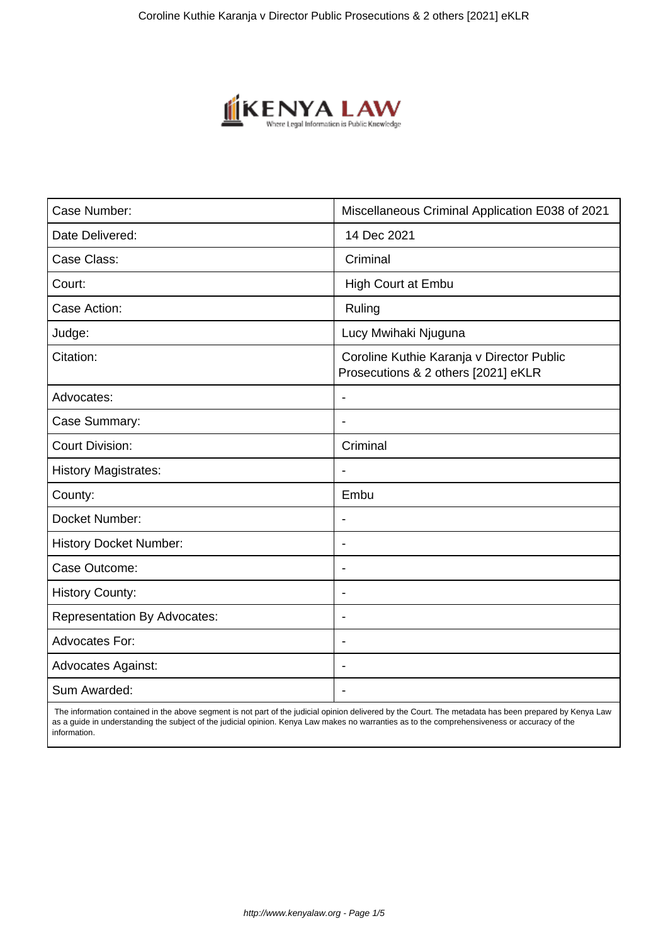

| Case Number:                        | Miscellaneous Criminal Application E038 of 2021                                  |
|-------------------------------------|----------------------------------------------------------------------------------|
| Date Delivered:                     | 14 Dec 2021                                                                      |
| Case Class:                         | Criminal                                                                         |
| Court:                              | High Court at Embu                                                               |
| Case Action:                        | Ruling                                                                           |
| Judge:                              | Lucy Mwihaki Njuguna                                                             |
| Citation:                           | Coroline Kuthie Karanja v Director Public<br>Prosecutions & 2 others [2021] eKLR |
| Advocates:                          |                                                                                  |
| Case Summary:                       |                                                                                  |
| <b>Court Division:</b>              | Criminal                                                                         |
| <b>History Magistrates:</b>         | $\blacksquare$                                                                   |
| County:                             | Embu                                                                             |
| Docket Number:                      |                                                                                  |
| <b>History Docket Number:</b>       | $\overline{\phantom{a}}$                                                         |
| Case Outcome:                       |                                                                                  |
| <b>History County:</b>              | $\overline{\phantom{a}}$                                                         |
| <b>Representation By Advocates:</b> | $\overline{\phantom{a}}$                                                         |
| Advocates For:                      | $\overline{\phantom{a}}$                                                         |
| <b>Advocates Against:</b>           | $\overline{\phantom{0}}$                                                         |
| Sum Awarded:                        |                                                                                  |

 The information contained in the above segment is not part of the judicial opinion delivered by the Court. The metadata has been prepared by Kenya Law as a guide in understanding the subject of the judicial opinion. Kenya Law makes no warranties as to the comprehensiveness or accuracy of the information.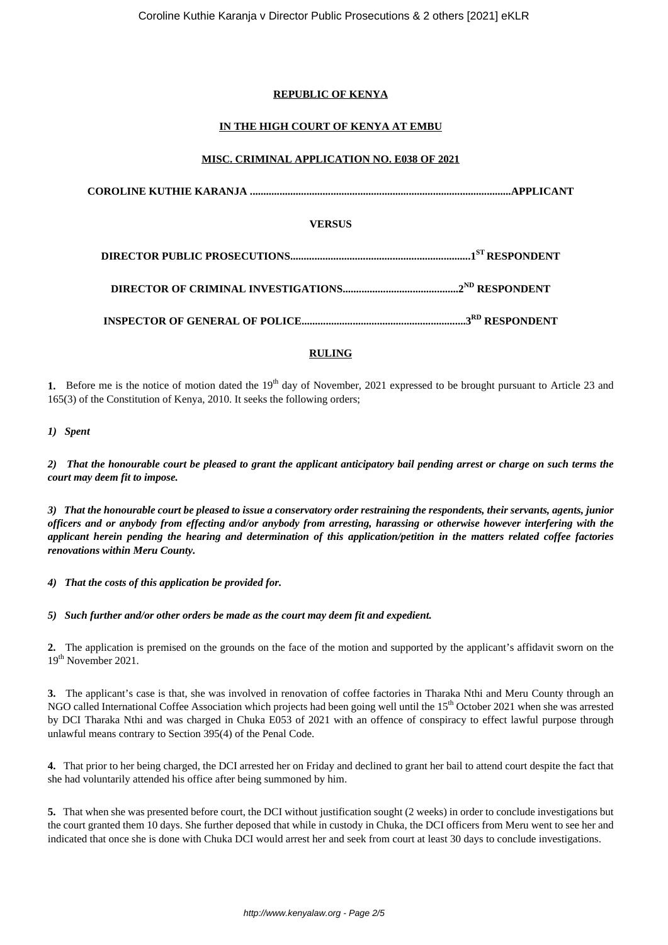# **REPUBLIC OF KENYA**

# **IN THE HIGH COURT OF KENYA AT EMBU**

# **MISC. CRIMINAL APPLICATION NO. E038 OF 2021**

**COROLINE KUTHIE KARANJA .................................................................................................APPLICANT VERSUS DIRECTOR PUBLIC PROSECUTIONS...................................................................1ST RESPONDENT DIRECTOR OF CRIMINAL INVESTIGATIONS...........................................2ND RESPONDENT INSPECTOR OF GENERAL OF POLICE.............................................................3RD RESPONDENT**

# **RULING**

**1.** Before me is the notice of motion dated the 19<sup>th</sup> day of November, 2021 expressed to be brought pursuant to Article 23 and 165(3) of the Constitution of Kenya, 2010. It seeks the following orders;

## *1) Spent*

*2) That the honourable court be pleased to grant the applicant anticipatory bail pending arrest or charge on such terms the court may deem fit to impose.*

*3) That the honourable court be pleased to issue a conservatory order restraining the respondents, their servants, agents, junior officers and or anybody from effecting and/or anybody from arresting, harassing or otherwise however interfering with the applicant herein pending the hearing and determination of this application/petition in the matters related coffee factories renovations within Meru County.*

*4) That the costs of this application be provided for.*

*5) Such further and/or other orders be made as the court may deem fit and expedient.*

**2.** The application is premised on the grounds on the face of the motion and supported by the applicant's affidavit sworn on the 19<sup>th</sup> November 2021.

**3.** The applicant's case is that, she was involved in renovation of coffee factories in Tharaka Nthi and Meru County through an NGO called International Coffee Association which projects had been going well until the 15th October 2021 when she was arrested by DCI Tharaka Nthi and was charged in Chuka E053 of 2021 with an offence of conspiracy to effect lawful purpose through unlawful means contrary to Section 395(4) of the Penal Code.

**4.** That prior to her being charged, the DCI arrested her on Friday and declined to grant her bail to attend court despite the fact that she had voluntarily attended his office after being summoned by him.

**5.** That when she was presented before court, the DCI without justification sought (2 weeks) in order to conclude investigations but the court granted them 10 days. She further deposed that while in custody in Chuka, the DCI officers from Meru went to see her and indicated that once she is done with Chuka DCI would arrest her and seek from court at least 30 days to conclude investigations.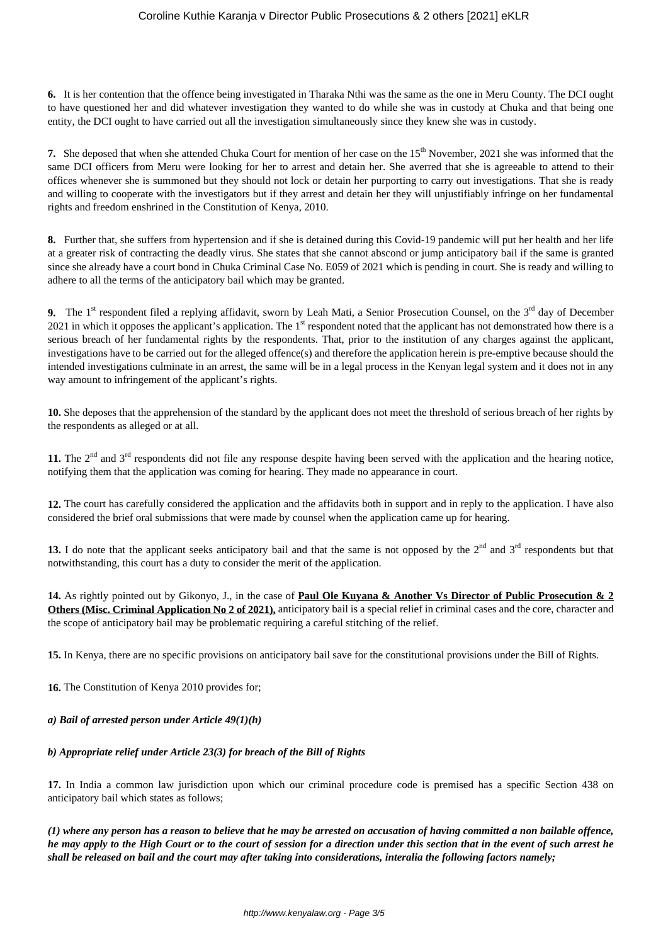**6.** It is her contention that the offence being investigated in Tharaka Nthi was the same as the one in Meru County. The DCI ought to have questioned her and did whatever investigation they wanted to do while she was in custody at Chuka and that being one entity, the DCI ought to have carried out all the investigation simultaneously since they knew she was in custody.

**7.** She deposed that when she attended Chuka Court for mention of her case on the 15<sup>th</sup> November, 2021 she was informed that the same DCI officers from Meru were looking for her to arrest and detain her. She averred that she is agreeable to attend to their offices whenever she is summoned but they should not lock or detain her purporting to carry out investigations. That she is ready and willing to cooperate with the investigators but if they arrest and detain her they will unjustifiably infringe on her fundamental rights and freedom enshrined in the Constitution of Kenya, 2010.

**8.** Further that, she suffers from hypertension and if she is detained during this Covid-19 pandemic will put her health and her life at a greater risk of contracting the deadly virus. She states that she cannot abscond or jump anticipatory bail if the same is granted since she already have a court bond in Chuka Criminal Case No. E059 of 2021 which is pending in court. She is ready and willing to adhere to all the terms of the anticipatory bail which may be granted.

**9.** The 1<sup>st</sup> respondent filed a replying affidavit, sworn by Leah Mati, a Senior Prosecution Counsel, on the 3<sup>rd</sup> day of December 2021 in which it opposes the applicant's application. The  $1<sup>st</sup>$  respondent noted that the applicant has not demonstrated how there is a serious breach of her fundamental rights by the respondents. That, prior to the institution of any charges against the applicant, investigations have to be carried out for the alleged offence(s) and therefore the application herein is pre-emptive because should the intended investigations culminate in an arrest, the same will be in a legal process in the Kenyan legal system and it does not in any way amount to infringement of the applicant's rights.

**10.** She deposes that the apprehension of the standard by the applicant does not meet the threshold of serious breach of her rights by the respondents as alleged or at all.

11. The 2<sup>nd</sup> and 3<sup>rd</sup> respondents did not file any response despite having been served with the application and the hearing notice, notifying them that the application was coming for hearing. They made no appearance in court.

**12.** The court has carefully considered the application and the affidavits both in support and in reply to the application. I have also considered the brief oral submissions that were made by counsel when the application came up for hearing.

13. I do note that the applicant seeks anticipatory bail and that the same is not opposed by the 2<sup>nd</sup> and 3<sup>rd</sup> respondents but that notwithstanding, this court has a duty to consider the merit of the application.

**14.** As rightly pointed out by Gikonyo, J., in the case of **Paul Ole Kuyana & Another Vs Director of Public Prosecution & 2 Others (Misc. Criminal Application No 2 of 2021),** anticipatory bail is a special relief in criminal cases and the core, character and the scope of anticipatory bail may be problematic requiring a careful stitching of the relief.

**15.** In Kenya, there are no specific provisions on anticipatory bail save for the constitutional provisions under the Bill of Rights.

**16.** The Constitution of Kenya 2010 provides for;

# *a) Bail of arrested person under Article 49(1)(h)*

#### *b) Appropriate relief under Article 23(3) for breach of the Bill of Rights*

**17.** In India a common law jurisdiction upon which our criminal procedure code is premised has a specific Section 438 on anticipatory bail which states as follows;

*(1) where any person has a reason to believe that he may be arrested on accusation of having committed a non bailable offence, he may apply to the High Court or to the court of session for a direction under this section that in the event of such arrest he shall be released on bail and the court may after taking into considerations, interalia the following factors namely;*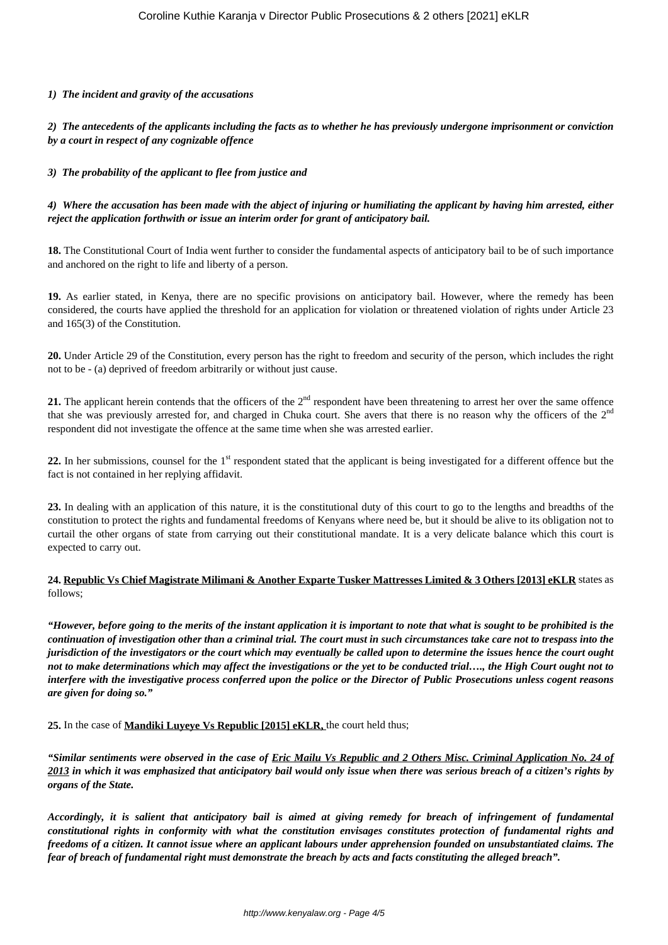### *1) The incident and gravity of the accusations*

*2) The antecedents of the applicants including the facts as to whether he has previously undergone imprisonment or conviction by a court in respect of any cognizable offence*

### *3) The probability of the applicant to flee from justice and*

## *4) Where the accusation has been made with the abject of injuring or humiliating the applicant by having him arrested, either reject the application forthwith or issue an interim order for grant of anticipatory bail.*

**18.** The Constitutional Court of India went further to consider the fundamental aspects of anticipatory bail to be of such importance and anchored on the right to life and liberty of a person.

**19.** As earlier stated, in Kenya, there are no specific provisions on anticipatory bail. However, where the remedy has been considered, the courts have applied the threshold for an application for violation or threatened violation of rights under Article 23 and 165(3) of the Constitution.

**20.** Under Article 29 of the Constitution, every person has the right to freedom and security of the person, which includes the right not to be - (a) deprived of freedom arbitrarily or without just cause.

**21.** The applicant herein contends that the officers of the 2<sup>nd</sup> respondent have been threatening to arrest her over the same offence that she was previously arrested for, and charged in Chuka court. She avers that there is no reason why the officers of the  $2<sup>nd</sup>$ respondent did not investigate the offence at the same time when she was arrested earlier.

**22.** In her submissions, counsel for the 1<sup>st</sup> respondent stated that the applicant is being investigated for a different offence but the fact is not contained in her replying affidavit.

**23.** In dealing with an application of this nature, it is the constitutional duty of this court to go to the lengths and breadths of the constitution to protect the rights and fundamental freedoms of Kenyans where need be, but it should be alive to its obligation not to curtail the other organs of state from carrying out their constitutional mandate. It is a very delicate balance which this court is expected to carry out.

## **24. Republic Vs Chief Magistrate Milimani & Another Exparte Tusker Mattresses Limited & 3 Others [2013] eKLR** states as follows;

*"However, before going to the merits of the instant application it is important to note that what is sought to be prohibited is the continuation of investigation other than a criminal trial. The court must in such circumstances take care not to trespass into the jurisdiction of the investigators or the court which may eventually be called upon to determine the issues hence the court ought not to make determinations which may affect the investigations or the yet to be conducted trial…., the High Court ought not to interfere with the investigative process conferred upon the police or the Director of Public Prosecutions unless cogent reasons are given for doing so."*

**25.** In the case of **Mandiki Luyeye Vs Republic [2015] eKLR,** the court held thus;

*"Similar sentiments were observed in the case of Eric Mailu Vs Republic and 2 Others Misc. Criminal Application No. 24 of 2013 in which it was emphasized that anticipatory bail would only issue when there was serious breach of a citizen's rights by organs of the State.* 

*Accordingly, it is salient that anticipatory bail is aimed at giving remedy for breach of infringement of fundamental constitutional rights in conformity with what the constitution envisages constitutes protection of fundamental rights and freedoms of a citizen. It cannot issue where an applicant labours under apprehension founded on unsubstantiated claims. The fear of breach of fundamental right must demonstrate the breach by acts and facts constituting the alleged breach".*